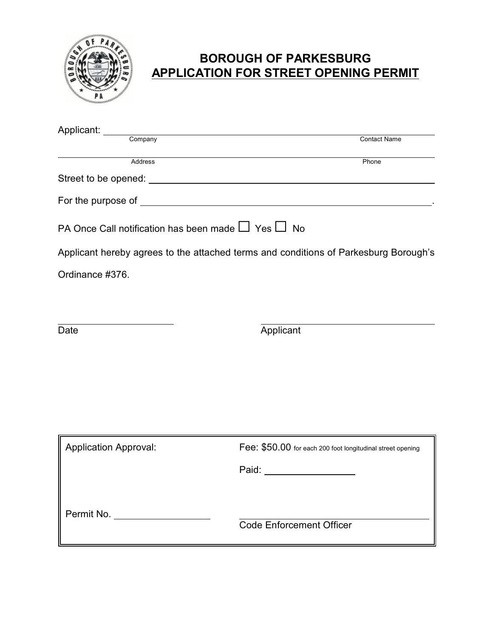

## **BOROUGH OF PARKESBURG APPLICATION FOR STREET OPENING PERMIT**

| Applicant: Company                                           | <b>Contact Name</b>                                                                  |
|--------------------------------------------------------------|--------------------------------------------------------------------------------------|
| <b>Address</b>                                               | Phone                                                                                |
|                                                              |                                                                                      |
|                                                              |                                                                                      |
| PA Once Call notification has been made $\Box$ Yes $\Box$ No |                                                                                      |
|                                                              | Applicant hereby agrees to the attached terms and conditions of Parkesburg Borough's |
| Ordinance #376.                                              |                                                                                      |
|                                                              |                                                                                      |
| Date                                                         | Applicant                                                                            |
|                                                              |                                                                                      |
|                                                              |                                                                                      |
|                                                              |                                                                                      |
|                                                              |                                                                                      |
| <b>Application Approval:</b>                                 | Fee: \$50.00 for each 200 foot longitudinal street opening                           |
|                                                              | Paid: __________________                                                             |
|                                                              |                                                                                      |
| Permit No. ___________________                               |                                                                                      |
|                                                              | <b>Code Enforcement Officer</b>                                                      |